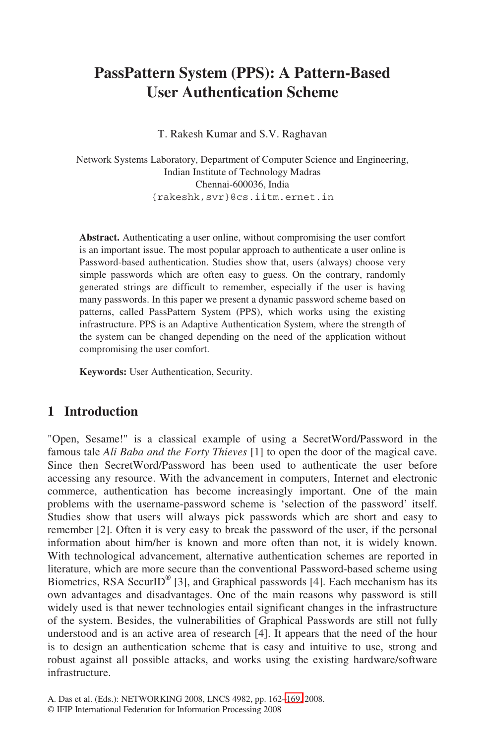# **PassPattern System (PPS): A Pattern-Based User Authentication Scheme**

T. Rakesh Kumar and S.V. Raghavan

Network Systems Laboratory, Department of Computer Science and Engineering, Indian Institute of Technology Madras Chennai-600036, India {rakeshk,svr}@cs.iitm.ernet.in

**Abstract.** Authenticating a user online, without compromising the user comfort is an important issue. The most popular approach to authenticate a user online is Password-based authentication. Studies show that, users (always) choose very simple passwords which are often easy to guess. On the contrary, randomly generated strings are difficult to remember, especially if the user is having many passwords. In this paper we present a dynamic password scheme based on patterns, called PassPattern System (PPS), which works using the existing infrastructure. PPS is an Adaptive Authentication System, where the strength of the system can be changed depending on the need of the application without compromising the user comfort.

**Keywords:** User Authentication, Security.

### **1 Introduction**

"Open, Sesame!" is a classical example of using a SecretWord/Password in the famous tale *Ali Baba and the Forty Thieves* [1] to open the door of the magical cave. Since then SecretWord/Password has been used to authenticate the user before accessing any resource. With the advancement in computers, Internet and electronic commerce, authentication has become increasingly important. One of the main problems with the username-password scheme is 'selection of the password' itself. Studies show that users will always pick passwords which are short and easy to remember [2]. Often it is very easy to break the password of the user, if the personal information about him/her is known and more often than not, it is widely known. With technological advancement, alternative authentication schemes are reported in literature, which are more secure than the conventional Password-based scheme using Biometrics, RSA SecurID<sup>®</sup> [3], and Graphical passwords [4]. Each mechanism has its own advantages and disadvant[ages.](#page-7-0) One of the main reasons why password is still widely used is that newer technologies entail significant changes in the infrastructure of the system. Besides, the vulnerabilities of Graphical Passwords are still not fully understood and is an active area of research [4]. It appears that the need of the hour is to design an authentication scheme that is easy and intuitive to use, strong and robust against all possible attacks, and works using the existing hardware/software infrastructure.

A. Das et al. (Eds.): NETWORKING 2008, LNCS 4982, pp. 162–169, 2008.

<sup>©</sup> IFIP International Federation for Information Processing 2008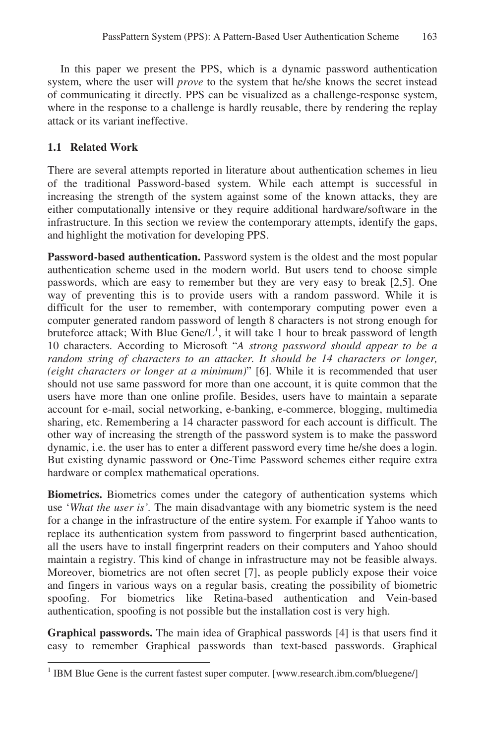In this paper we present the PPS, which is a dynamic password authentication system, where the user will *prove* to the system that he/she knows the secret instead of communicating it directly. PPS can be visualized as a challenge-response system, where in the response to a challenge is hardly reusable, there by rendering the replay attack or its variant ineffective.

#### **1.1 Related Work**

l

There are several attempts reported in literature about authentication schemes in lieu of the traditional Password-based system. While each attempt is successful in increasing the strength of the system against some of the known attacks, they are either computationally intensive or they require additional hardware/software in the infrastructure. In this section we review the contemporary attempts, identify the gaps, and highlight the motivation for developing PPS.

**Password-based authentication.** Password system is the oldest and the most popular authentication scheme used in the modern world. But users tend to choose simple passwords, which are easy to remember but they are very easy to break [2,5]. One way of preventing this is to provide users with a random password. While it is difficult for the user to remember, with contemporary computing power even a computer generated random password of length 8 characters is not strong enough for bruteforce attack; With Blue  $Gene/L^1$ , it will take 1 hour to break password of length 10 characters. According to Microsoft "*A strong password should appear to be a random string of characters to an attacker. It should be 14 characters or longer, (eight characters or longer at a minimum)*" [6]. While it is recommended that user should not use same password for more than one account, it is quite common that the users have more than one online profile. Besides, users have to maintain a separate account for e-mail, social networking, e-banking, e-commerce, blogging, multimedia sharing, etc. Remembering a 14 character password for each account is difficult. The other way of increasing the strength of the password system is to make the password dynamic, i.e. the user has to enter a different password every time he/she does a login. But existing dynamic password or One-Time Password schemes either require extra hardware or complex mathematical operations.

**Biometrics.** Biometrics comes under the category of authentication systems which use '*What the user is'.* The main disadvantage with any biometric system is the need for a change in the infrastructure of the entire system. For example if Yahoo wants to replace its authentication system from password to fingerprint based authentication, all the users have to install fingerprint readers on their computers and Yahoo should maintain a registry. This kind of change in infrastructure may not be feasible always. Moreover, biometrics are not often secret [7], as people publicly expose their voice and fingers in various ways on a regular basis, creating the possibility of biometric spoofing. For biometrics like Retina-based authentication and Vein-based authentication, spoofing is not possible but the installation cost is very high.

**Graphical passwords.** The main idea of Graphical passwords [4] is that users find it easy to remember Graphical passwords than text-based passwords. Graphical

<sup>&</sup>lt;sup>1</sup> IBM Blue Gene is the current fastest super computer. [www.research.ibm.com/bluegene/]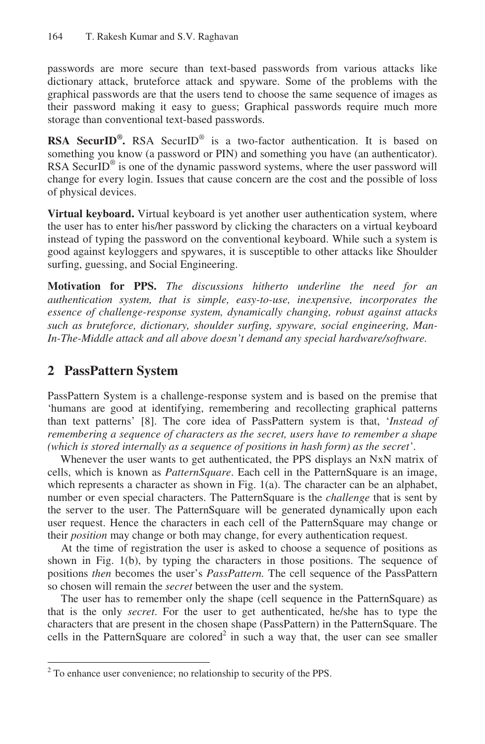passwords are more secure than text-based passwords from various attacks like dictionary attack, bruteforce attack and spyware. Some of the problems with the graphical passwords are that the users tend to choose the same sequence of images as their password making it easy to guess; Graphical passwords require much more storage than conventional text-based passwords.

**RSA SecurID®.** RSA SecurID® is a two-factor authentication. It is based on something you know (a password or PIN) and something you have (an authenticator). RSA SecurID<sup>®</sup> is one of the dynamic password systems, where the user password will change for every login. Issues that cause concern are the cost and the possible of loss of physical devices.

**Virtual keyboard.** Virtual keyboard is yet another user authentication system, where the user has to enter his/her password by clicking the characters on a virtual keyboard instead of typing the password on the conventional keyboard. While such a system is good against keyloggers and spywares, it is susceptible to other attacks like Shoulder surfing, guessing, and Social Engineering.

**Motivation for PPS.** *The discussions hitherto underline the need for an authentication system, that is simple, easy-to-use, inexpensive, incorporates the essence of challenge-response system, dynamically changing, robust against attacks such as bruteforce, dictionary, shoulder surfing, spyware, social engineering, Man-In-The-Middle attack and all above doesn't demand any special hardware/software.* 

## **2 PassPattern System**

l

PassPattern System is a challenge-response system and is based on the premise that 'humans are good at identifying, remembering and recollecting graphical patterns than text patterns' [8]. The core idea of PassPattern system is that, '*Instead of remembering a sequence of characters as the secret, users have to remember a shape (which is stored internally as a sequence of positions in hash form) as the secret'*.

Whenever the user wants to get authenticated, the PPS displays an NxN matrix of cells, which is known as *PatternSquare*. Each cell in the PatternSquare is an image, which represents a character as shown in Fig. 1(a). The character can be an alphabet, number or even special characters. The PatternSquare is the *challenge* that is sent by the server to the user. The PatternSquare will be generated dynamically upon each user request. Hence the characters in each cell of the PatternSquare may change or their *position* may change or both may change, for every authentication request.

At the time of registration the user is asked to choose a sequence of positions as shown in Fig. 1(b), by typing the characters in those positions. The sequence of positions *then* becomes the user's *PassPattern.* The cell sequence of the PassPattern so chosen will remain the *secret* between the user and the system.

The user has to remember only the shape (cell sequence in the PatternSquare) as that is the only *secret*. For the user to get authenticated, he/she has to type the characters that are present in the chosen shape (PassPattern) in the PatternSquare. The cells in the PatternSquare are colored<sup>2</sup> in such a way that, the user can see smaller

<sup>&</sup>lt;sup>2</sup> To enhance user convenience; no relationship to security of the PPS.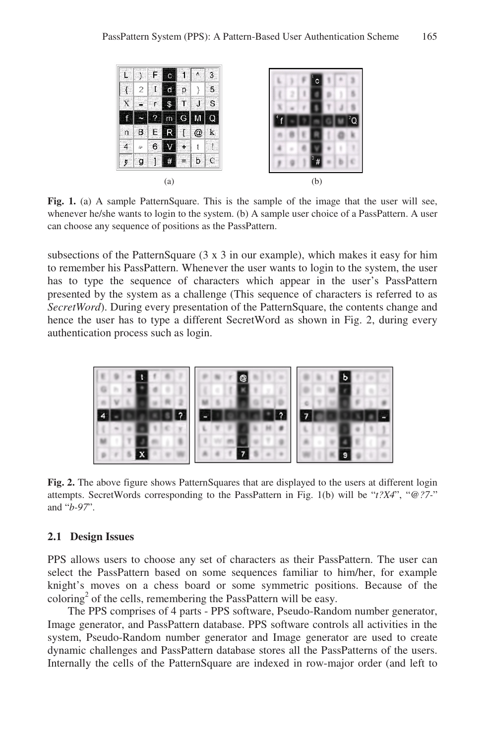

Fig. 1. (a) A sample PatternSquare. This is the sample of the image that the user will see, whenever he/she wants to login to the system. (b) A sample user choice of a PassPattern. A user can choose any sequence of positions as the PassPattern.

subsections of the PatternSquare (3 x 3 in our example), which makes it easy for him to remember his PassPattern. Whenever the user wants to login to the system, the user has to type the sequence of characters which appear in the user's PassPattern presented by the system as a challenge (This sequence of characters is referred to as *SecretWord*). During every presentation of the PatternSquare, the contents change and hence the user has to type a different SecretWord as shown in Fig. 2, during every authentication process such as login.



**Fig. 2.** The above figure shows PatternSquares that are displayed to the users at different login attempts. SecretWords corresponding to the PassPattern in Fig. 1(b) will be "*t?X4*", "*@?7-*" and "*b-97*".

#### **2.1 Design Issues**

PPS allows users to choose any set of characters as their PassPattern. The user can select the PassPattern based on some sequences familiar to him/her, for example knight's moves on a chess board or some symmetric positions. Because of the coloring<sup>2</sup> of the cells, remembering the PassPattern will be easy.

The PPS comprises of 4 parts - PPS software, Pseudo-Random number generator, Image generator, and PassPattern database. PPS software controls all activities in the system, Pseudo-Random number generator and Image generator are used to create dynamic challenges and PassPattern database stores all the PassPatterns of the users. Internally the cells of the PatternSquare are indexed in row-major order (and left to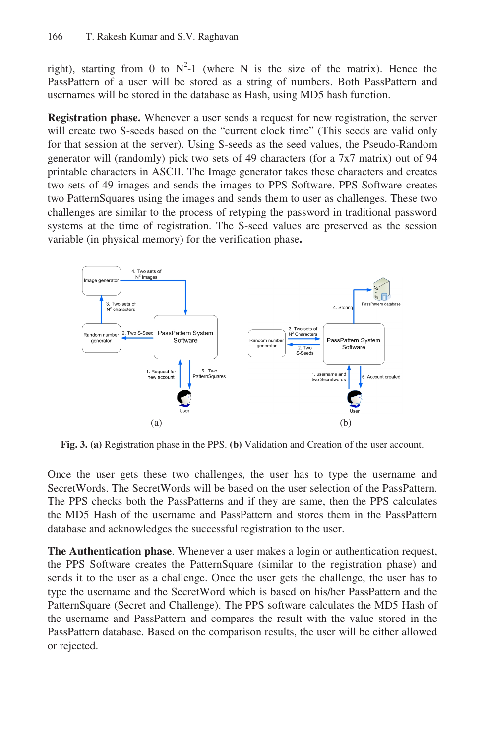right), starting from 0 to  $N^2-1$  (where N is the size of the matrix). Hence the PassPattern of a user will be stored as a string of numbers. Both PassPattern and usernames will be stored in the database as Hash, using MD5 hash function.

**Registration phase.** Whenever a user sends a request for new registration, the server will create two S-seeds based on the "current clock time" (This seeds are valid only for that session at the server). Using S-seeds as the seed values, the Pseudo-Random generator will (randomly) pick two sets of 49 characters (for a 7x7 matrix) out of 94 printable characters in ASCII. The Image generator takes these characters and creates two sets of 49 images and sends the images to PPS Software. PPS Software creates two PatternSquares using the images and sends them to user as challenges. These two challenges are similar to the process of retyping the password in traditional password systems at the time of registration. The S-seed values are preserved as the session variable (in physical memory) for the verification phase**.** 



**Fig. 3. (a)** Registration phase in the PPS. **(b)** Validation and Creation of the user account.

Once the user gets these two challenges, the user has to type the username and SecretWords. The SecretWords will be based on the user selection of the PassPattern. The PPS checks both the PassPatterns and if they are same, then the PPS calculates the MD5 Hash of the username and PassPattern and stores them in the PassPattern database and acknowledges the successful registration to the user.

**The Authentication phase**. Whenever a user makes a login or authentication request, the PPS Software creates the PatternSquare (similar to the registration phase) and sends it to the user as a challenge. Once the user gets the challenge, the user has to type the username and the SecretWord which is based on his/her PassPattern and the PatternSquare (Secret and Challenge). The PPS software calculates the MD5 Hash of the username and PassPattern and compares the result with the value stored in the PassPattern database. Based on the comparison results, the user will be either allowed or rejected.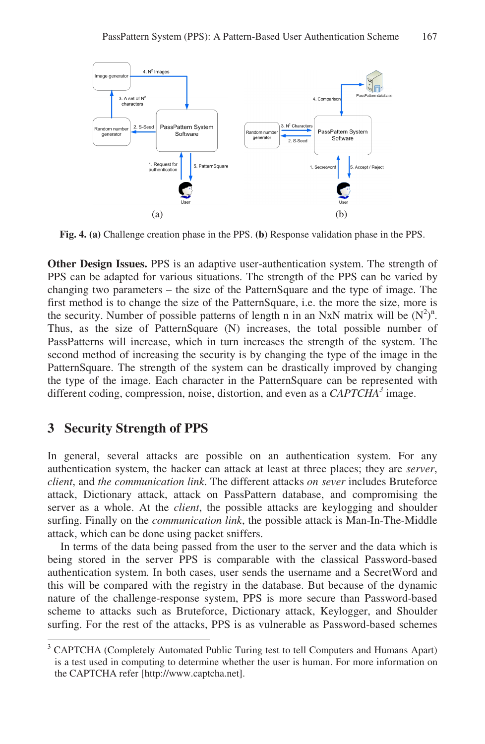

**Fig. 4. (a)** Challenge creation phase in the PPS. **(b)** Response validation phase in the PPS.

**Other Design Issues.** PPS is an adaptive user-authentication system. The strength of PPS can be adapted for various situations. The strength of the PPS can be varied by changing two parameters – the size of the PatternSquare and the type of image. The first method is to change the size of the PatternSquare, i.e. the more the size, more is the security. Number of possible patterns of length n in an NxN matrix will be  $(N^2)^n$ . Thus, as the size of PatternSquare (N) increases, the total possible number of PassPatterns will increase, which in turn increases the strength of the system. The second method of increasing the security is by changing the type of the image in the PatternSquare. The strength of the system can be drastically improved by changing the type of the image. Each character in the PatternSquare can be represented with different coding, compression, noise, distortion, and even as a *CAPTCHA<sup>3</sup>* image.

#### **3 Security Strength of PPS**

l

In general, several attacks are possible on an authentication system. For any authentication system, the hacker can attack at least at three places; they are *server*, *client*, and *the communication link*. The different attacks *on sever* includes Bruteforce attack, Dictionary attack, attack on PassPattern database, and compromising the server as a whole. At the *client*, the possible attacks are keylogging and shoulder surfing. Finally on the *communication link*, the possible attack is Man-In-The-Middle attack, which can be done using packet sniffers.

In terms of the data being passed from the user to the server and the data which is being stored in the server PPS is comparable with the classical Password-based authentication system. In both cases, user sends the username and a SecretWord and this will be compared with the registry in the database. But because of the dynamic nature of the challenge-response system, PPS is more secure than Password-based scheme to attacks such as Bruteforce, Dictionary attack, Keylogger, and Shoulder surfing. For the rest of the attacks, PPS is as vulnerable as Password-based schemes

<sup>&</sup>lt;sup>3</sup> CAPTCHA (Completely Automated Public Turing test to tell Computers and Humans Apart) is a test used in computing to determine whether the user is human. For more information on the CAPTCHA refer [http://www.captcha.net].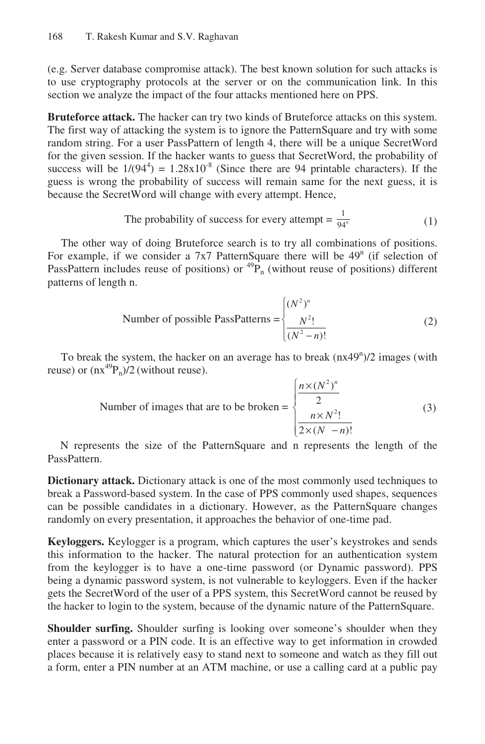(e.g. Server database compromise attack). The best known solution for such attacks is to use cryptography protocols at the server or on the communication link. In this section we analyze the impact of the four attacks mentioned here on PPS.

**Bruteforce attack.** The hacker can try two kinds of Bruteforce attacks on this system. The first way of attacking the system is to ignore the PatternSquare and try with some random string. For a user PassPattern of length 4, there will be a unique SecretWord for the given session. If the hacker wants to guess that SecretWord, the probability of success will be  $1/(94^4) = 1.28 \times 10^{-8}$  (Since there are 94 printable characters). If the guess is wrong the probability of success will remain same for the next guess, it is because the SecretWord will change with every attempt. Hence,

The probability of success for every attempt = 
$$
\frac{1}{94^n}
$$
 (1)

The other way of doing Bruteforce search is to try all combinations of positions. For example, if we consider a  $7x7$  PatternSquare there will be  $49<sup>n</sup>$  (if selection of PassPattern includes reuse of positions) or  $^{49}P_n$  (without reuse of positions) different patterns of length n.

Number of possible PassPatterns = 
$$
\left\{\frac{(N^2)^n}{N^2!}
$$
 (2)

To break the system, the hacker on an average has to break  $(nx49<sup>n</sup>)/2$  images (with reuse) or  $(nx^{49}P_n)/2$  (without reuse).

Number of images that are to be broken = 
$$
\begin{cases} \frac{n \times (N^2)^n}{2} \\ \frac{n \times N^2!}{2 \times (N - n)!} \end{cases}
$$
 (3)

N represents the size of the PatternSquare and n represents the length of the PassPattern.

**Dictionary attack.** Dictionary attack is one of the most commonly used techniques to break a Password-based system. In the case of PPS commonly used shapes, sequences can be possible candidates in a dictionary. However, as the PatternSquare changes randomly on every presentation, it approaches the behavior of one-time pad.

**Keyloggers.** Keylogger is a program, which captures the user's keystrokes and sends this information to the hacker. The natural protection for an authentication system from the keylogger is to have a one-time password (or Dynamic password). PPS being a dynamic password system, is not vulnerable to keyloggers. Even if the hacker gets the SecretWord of the user of a PPS system, this SecretWord cannot be reused by the hacker to login to the system, because of the dynamic nature of the PatternSquare.

**Shoulder surfing.** Shoulder surfing is looking over someone's shoulder when they enter a password or a PIN code. It is an effective way to get information in crowded places because it is relatively easy to stand next to someone and watch as they fill out a form, enter a PIN number at an ATM machine, or use a calling card at a public pay